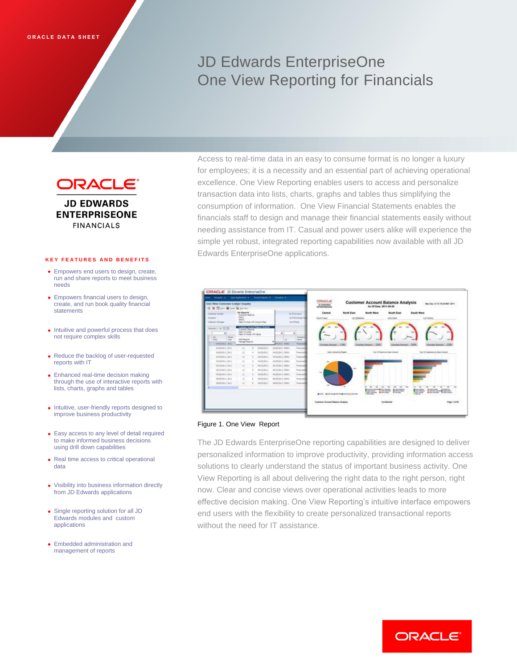# JD Edwards EnterpriseOne One View Reporting for Financials



**JD EDWARDS ENTERPRISEONE FINANCIALS** 

#### **K E Y F E A T U R E S A N D B E N E F I T S**

- Empowers end users to design, create, run and share reports to meet business needs
- Empowers financial users to design, create, and run book quality financial **statements**
- Intuitive and powerful process that does not require complex skills
- Reduce the backlog of user-requested reports with IT
- Enhanced real-time decision making through the use of interactive reports with lists, charts, graphs and tables
- Intuitive, user-friendly reports designed to improve business productivity
- Easy access to any level of detail required to make informed business decisions using drill down capabilities
- Real time access to critical operational data
- Visibility into business information directly from JD Edwards applications
- Single reporting solution for all JD Edwards modules and custom applications
- Embedded administration and management of reports

Access to real-time data in an easy to consume format is no longer a luxury for employees; it is a necessity and an essential part of achieving operational excellence. One View Reporting enables users to access and personalize transaction data into lists, charts, graphs and tables thus simplifying the consumption of information. One View Financial Statements enables the financials staff to design and manage their financial statements easily without needing assistance from IT. Casual and power users alike will experience the simple yet robust, integrated reporting capabilities now available with all JD Edwards EnterpriseOne applications.



## Figure 1. One View Report

The JD Edwards EnterpriseOne reporting capabilities are designed to deliver personalized information to improve productivity, providing information access solutions to clearly understand the status of important business activity. One View Reporting is all about delivering the right data to the right person, right now. Clear and concise views over operational activities leads to more effective decision making. One View Reporting's intuitive interface empowers end users with the flexibility to create personalized transactional reports without the need for IT assistance.

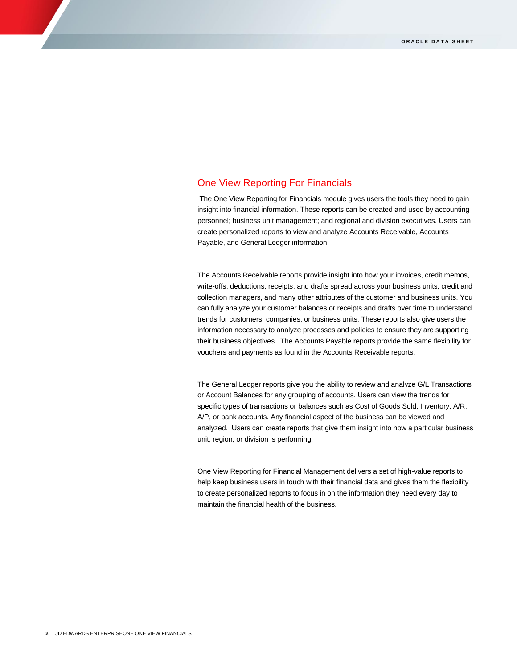# One View Reporting For Financials

The One View Reporting for Financials module gives users the tools they need to gain insight into financial information. These reports can be created and used by accounting personnel; business unit management; and regional and division executives. Users can create personalized reports to view and analyze Accounts Receivable, Accounts Payable, and General Ledger information.

The Accounts Receivable reports provide insight into how your invoices, credit memos, write-offs, deductions, receipts, and drafts spread across your business units, credit and collection managers, and many other attributes of the customer and business units. You can fully analyze your customer balances or receipts and drafts over time to understand trends for customers, companies, or business units. These reports also give users the information necessary to analyze processes and policies to ensure they are supporting their business objectives. The Accounts Payable reports provide the same flexibility for vouchers and payments as found in the Accounts Receivable reports.

The General Ledger reports give you the ability to review and analyze G/L Transactions or Account Balances for any grouping of accounts. Users can view the trends for specific types of transactions or balances such as Cost of Goods Sold, Inventory, A/R, A/P, or bank accounts. Any financial aspect of the business can be viewed and analyzed. Users can create reports that give them insight into how a particular business unit, region, or division is performing.

One View Reporting for Financial Management delivers a set of high-value reports to help keep business users in touch with their financial data and gives them the flexibility to create personalized reports to focus in on the information they need every day to maintain the financial health of the business.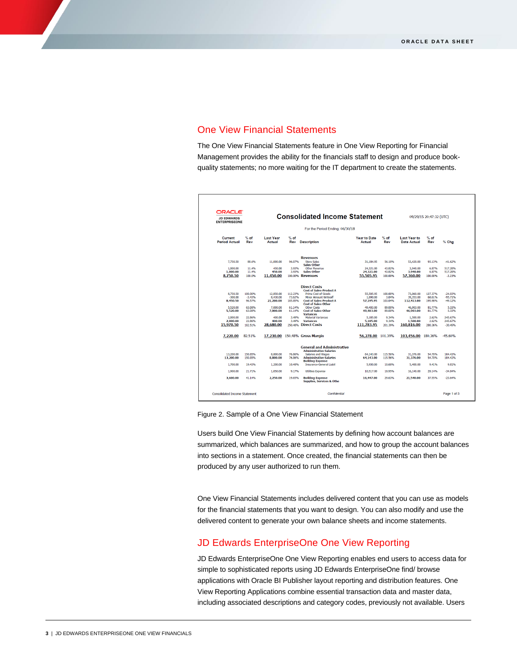# One View Financial Statements

The One View Financial Statements feature in One View Reporting for Financial Management provides the ability for the financials staff to design and produce bookquality statements; no more waiting for the IT department to create the statements.

| <b>ORACLE</b><br><b>JD EDWARDS</b><br><b>ENTERPRISEONE</b> |                    | <b>Consolidated Income Statement</b> |                  |                                                                                 |                               |                    | 09/29/15 20:47:32 (UTC)            |                  |                    |
|------------------------------------------------------------|--------------------|--------------------------------------|------------------|---------------------------------------------------------------------------------|-------------------------------|--------------------|------------------------------------|------------------|--------------------|
| For the Period Ending: 06/30/18                            |                    |                                      |                  |                                                                                 |                               |                    |                                    |                  |                    |
| Current<br><b>Period Actual</b>                            | $%$ of<br>Rev      | <b>Last Year</b><br>Actual           | $%$ of<br>Rev    | <b>Description</b>                                                              | <b>Year to Date</b><br>Actual | $%$ of<br>Rev      | <b>Last Year to</b><br>Date Actual | $%$ of<br>Rev    | % Chg              |
|                                                            |                    |                                      |                  | <b>Revenues</b>                                                                 |                               |                    |                                    |                  |                    |
| 7,750.50                                                   | 88.6%              | 11,000.00                            | 96.07%           | <b>Store Sales</b><br>Sales-Other                                               | 31.184.95                     | 56.18%             | 53,420.00                          | 93.13%           | $-41.62%$          |
| 1,000,00<br>1,000.00                                       | 11.4%<br>11.4%     | 450.00<br>450.00                     | 3.93%<br>3.93%   | Other Revenue<br>Sales-Other                                                    | 24,321.00<br>24,321.00        | 43.82%<br>43.82%   | 3.940.00<br>3,940.00               | 6.87%<br>6.87%   | 517.28%<br>517.28% |
| 8,750.50                                                   | 100.0%             | 11.450.00                            |                  | 100,00% Revenues                                                                | 55.505.95                     | 100.00%            | 57.360.00                          | 100.00%          | $-3.23%$           |
|                                                            |                    |                                      |                  | <b>Direct Costs</b>                                                             |                               |                    |                                    |                  |                    |
| 8,750,50                                                   | 100.00%            | 12,850,00                            | 112.23%          | <b>Cost of Sales-Product A</b><br>Prime Cost of Goods                           | 55,505,95                     | 100.00%            | 73,060,00                          | 127.37%          | $-24.03%$          |
| $-300.00$                                                  | $-3.43%$           | 8,430,00                             | 73.62%           | <b>Minor Amount Writeoff</b>                                                    | 1,690.00                      | 3.04%              | 39,353,00                          | 68.61%           | $-95.71%$          |
| 8,450.50                                                   | 96.57%             | 21.280.00                            | 185,85%          | <b>Cost of Sales-Product A</b><br><b>Cost of Sales-Other</b>                    | 57.195.95                     | 103.04%            | 112,413.00                         | 195.98%          | $-49.12%$          |
| 5.520.00<br>5,520.00                                       | 63.08%<br>63.08%   | 7.000.00<br>7,000.00                 | 61.14%<br>61.14% | Other Costs<br><b>Cost of Sales-Other</b>                                       | 49,403.00<br>49,403.00        | 89.00%<br>89.00%   | 46,903,00<br>46,903.00             | 81.77%<br>81.77% | 5.33%<br>5.33%     |
|                                                            |                    |                                      |                  | <b>Variances</b>                                                                |                               |                    |                                    |                  |                    |
| 2,000.00<br>2.000.00                                       | 22.86%<br>22.86%   | 400.00<br>400.00                     | 3.49%<br>3.49%   | <b>Material Variances</b><br><b>Variances</b>                                   | 5.185.00<br>5,185.00          | 9.34%<br>9.34%     | 1.500.00<br>1.500.00               | 2.62%<br>2.62%   | 245.67%<br>245.67% |
| 15.970.50                                                  | 182.51%            | 28.680.00                            | 250.48%          | <b>Direct Costs</b>                                                             | 111.783.95                    | 201.39%            | 160.816.00                         | 280.36%          | $-30.49%$          |
| 7.220.00                                                   | 82.51%             |                                      |                  | 17.230.00 150.48% Gross Margin                                                  | 56.278.00 101.39%             |                    | 103.456.00 180.36%                 |                  | $-45.60%$          |
|                                                            |                    |                                      |                  | <b>General and Administrative</b><br><b>Administrative Salaries</b>             |                               |                    |                                    |                  |                    |
| 13,200.00<br>13,200.00                                     | 150.85%<br>150.85% | 8,800.00<br>8,800.00                 | 76.86%<br>76.86% | Salaries and Wages<br><b>Administrative Salaries</b><br><b>Building Expense</b> | 64.143.00<br>64.143.00        | 115.56%<br>115.56% | 31,376.00<br>31,376.00             | 54.70%<br>54.70% | 104.43%<br>104.43% |
| 1,700.00                                                   | 19.43%             | 1,200.00                             | 10.48%           | <b>Insurance-General Liabil</b>                                                 | 5,930.00                      | 10.68%             | 5,400,00                           | 9.41%            | 9.81%              |
| 1,900.00                                                   | 21.71%             | 1.050.00                             | 9.17%            | <b>Utilities Expense</b>                                                        | 10,517.00                     | 18.95%             | 16,140,00                          | 28.14%           | $-34.84%$          |
| 3.600.00                                                   | 41.14%             | 2.250.00                             | 19.65%           | <b>Building Expense</b><br>Supplies, Services & Othe                            | 16,447.00                     | 29.63%             | 21.540.00                          | 37.55%           | $-23.64%$          |

Figure 2. Sample of a One View Financial Statement

Users build One View Financial Statements by defining how account balances are summarized, which balances are summarized, and how to group the account balances into sections in a statement. Once created, the financial statements can then be produced by any user authorized to run them.

One View Financial Statements includes delivered content that you can use as models for the financial statements that you want to design. You can also modify and use the delivered content to generate your own balance sheets and income statements.

# JD Edwards EnterpriseOne One View Reporting

JD Edwards EnterpriseOne One View Reporting enables end users to access data for simple to sophisticated reports using JD Edwards EnterpriseOne find/ browse applications with Oracle BI Publisher layout reporting and distribution features. One View Reporting Applications combine essential transaction data and master data, including associated descriptions and category codes, previously not available. Users